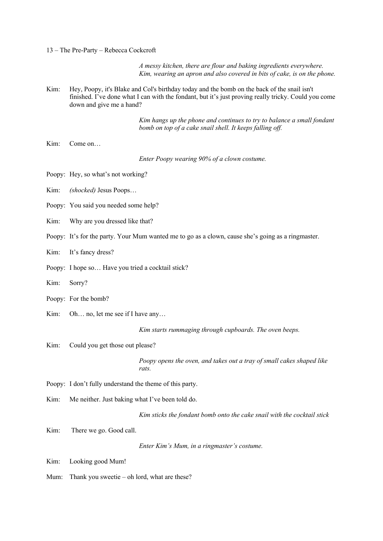13 – The Pre-Party – Rebecca Cockcroft

*A messy kitchen, there are flour and baking ingredients everywhere. Kim, wearing an apron and also covered in bits of cake, is on the phone.* 

Kim: Hey, Poopy, it's Blake and Col's birthday today and the bomb on the back of the snail isn't finished. I've done what I can with the fondant, but it's just proving really tricky. Could you come down and give me a hand?

> *Kim hangs up the phone and continues to try to balance a small fondant bomb on top of a cake snail shell. It keeps falling off.*

Kim: Come on…

*Enter Poopy wearing 90% of a clown costume.*

- Poopy: Hey, so what's not working?
- Kim: *(shocked)* Jesus Poops…
- Poopy: You said you needed some help?
- Kim: Why are you dressed like that?
- Poopy: It's for the party. Your Mum wanted me to go as a clown, cause she's going as a ringmaster.
- Kim: It's fancy dress?
- Poopy: I hope so… Have you tried a cocktail stick?
- Kim: Sorry?
- Poopy: For the bomb?
- Kim: Oh... no, let me see if I have any...

*Kim starts rummaging through cupboards. The oven beeps.*

Kim: Could you get those out please?

*Poopy opens the oven, and takes out a tray of small cakes shaped like rats.*

- Poopy: I don't fully understand the theme of this party.
- Kim: Me neither. Just baking what I've been told do.

*Kim sticks the fondant bomb onto the cake snail with the cocktail stick*

Kim: There we go. Good call.

*Enter Kim's Mum, in a ringmaster's costume.*

- Kim: Looking good Mum!
- Mum: Thank you sweetie oh lord, what are these?